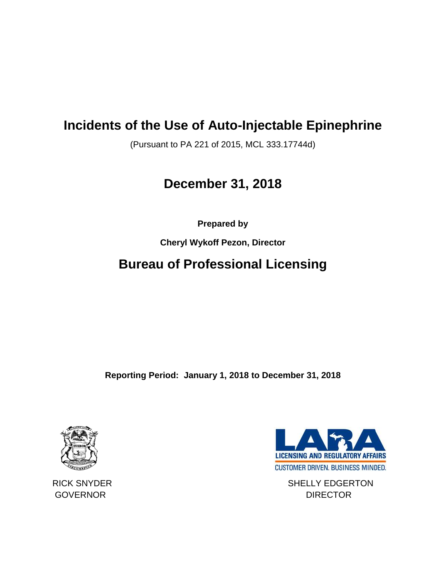## **Incidents of the Use of Auto-Injectable Epinephrine**

(Pursuant to PA 221 of 2015, MCL 333.17744d)

# **December 31, 2018**

**Prepared by** 

**Cheryl Wykoff Pezon, Director**

# **Bureau of Professional Licensing**

**Reporting Period: January 1, 2018 to December 31, 2018**





RICK SNYDER SHELLY EDGERTON GOVERNOR DIRECTOR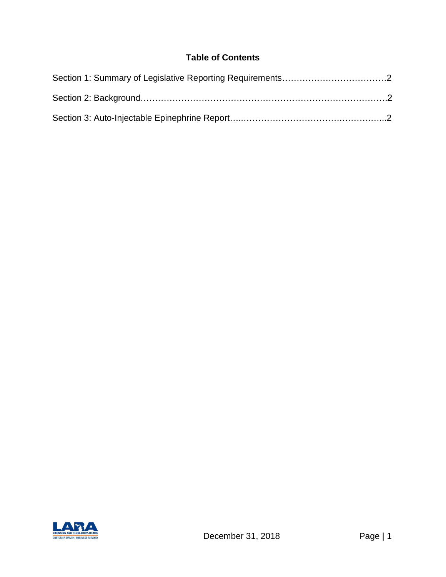## **Table of Contents**

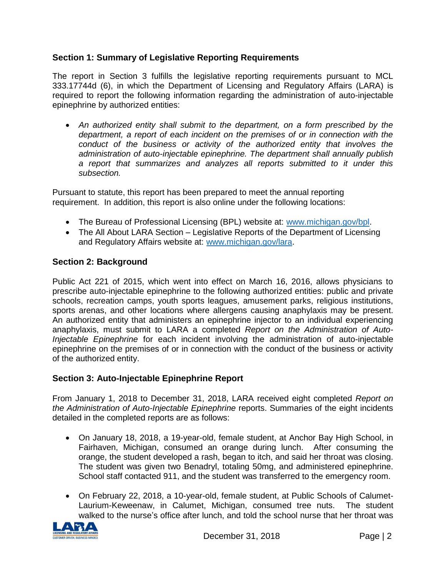### **Section 1: Summary of Legislative Reporting Requirements**

The report in Section 3 fulfills the legislative reporting requirements pursuant to MCL 333.17744d (6), in which the Department of Licensing and Regulatory Affairs (LARA) is required to report the following information regarding the administration of auto-injectable epinephrine by authorized entities:

• *An authorized entity shall submit to the department, on a form prescribed by the department, a report of each incident on the premises of or in connection with the conduct of the business or activity of the authorized entity that involves the administration of auto-injectable epinephrine. The department shall annually publish a report that summarizes and analyzes all reports submitted to it under this subsection.* 

Pursuant to statute, this report has been prepared to meet the annual reporting requirement. In addition, this report is also online under the following locations:

- The Bureau of Professional Licensing (BPL) website at: [www.michigan.gov/bpl.](http://www.michigan.gov/bpl)
- The All About LARA Section Legislative Reports of the Department of Licensing and Regulatory Affairs website at: [www.michigan.gov/lara.](http://www.michigan.gov/lara)

### **Section 2: Background**

Public Act 221 of 2015, which went into effect on March 16, 2016, allows physicians to prescribe auto-injectable epinephrine to the following authorized entities: public and private schools, recreation camps, youth sports leagues, amusement parks, religious institutions, sports arenas, and other locations where allergens causing anaphylaxis may be present. An authorized entity that administers an epinephrine injector to an individual experiencing anaphylaxis, must submit to LARA a completed *Report on the Administration of Auto-Injectable Epinephrine* for each incident involving the administration of auto-injectable epinephrine on the premises of or in connection with the conduct of the business or activity of the authorized entity.

### **Section 3: Auto-Injectable Epinephrine Report**

From January 1, 2018 to December 31, 2018, LARA received eight completed *Report on the Administration of Auto-Injectable Epinephrine* reports. Summaries of the eight incidents detailed in the completed reports are as follows:

- On January 18, 2018, a 19-year-old, female student, at Anchor Bay High School, in Fairhaven, Michigan, consumed an orange during lunch. After consuming the orange, the student developed a rash, began to itch, and said her throat was closing. The student was given two Benadryl, totaling 50mg, and administered epinephrine. School staff contacted 911, and the student was transferred to the emergency room.
- On February 22, 2018, a 10-year-old, female student, at Public Schools of Calumet-Laurium-Keweenaw, in Calumet, Michigan, consumed tree nuts. The student walked to the nurse's office after lunch, and told the school nurse that her throat was

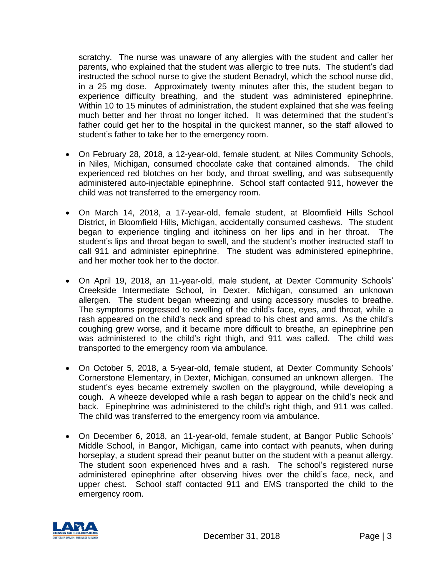scratchy. The nurse was unaware of any allergies with the student and caller her parents, who explained that the student was allergic to tree nuts. The student's dad instructed the school nurse to give the student Benadryl, which the school nurse did, in a 25 mg dose. Approximately twenty minutes after this, the student began to experience difficulty breathing, and the student was administered epinephrine. Within 10 to 15 minutes of administration, the student explained that she was feeling much better and her throat no longer itched. It was determined that the student's father could get her to the hospital in the quickest manner, so the staff allowed to student's father to take her to the emergency room.

- On February 28, 2018, a 12-year-old, female student, at Niles Community Schools, in Niles, Michigan, consumed chocolate cake that contained almonds. The child experienced red blotches on her body, and throat swelling, and was subsequently administered auto-injectable epinephrine. School staff contacted 911, however the child was not transferred to the emergency room.
- On March 14, 2018, a 17-year-old, female student, at Bloomfield Hills School District, in Bloomfield Hills, Michigan, accidentally consumed cashews. The student began to experience tingling and itchiness on her lips and in her throat. The student's lips and throat began to swell, and the student's mother instructed staff to call 911 and administer epinephrine. The student was administered epinephrine, and her mother took her to the doctor.
- On April 19, 2018, an 11-year-old, male student, at Dexter Community Schools' Creekside Intermediate School, in Dexter, Michigan, consumed an unknown allergen. The student began wheezing and using accessory muscles to breathe. The symptoms progressed to swelling of the child's face, eyes, and throat, while a rash appeared on the child's neck and spread to his chest and arms. As the child's coughing grew worse, and it became more difficult to breathe, an epinephrine pen was administered to the child's right thigh, and 911 was called. The child was transported to the emergency room via ambulance.
- On October 5, 2018, a 5-year-old, female student, at Dexter Community Schools' Cornerstone Elementary, in Dexter, Michigan, consumed an unknown allergen. The student's eyes became extremely swollen on the playground, while developing a cough. A wheeze developed while a rash began to appear on the child's neck and back. Epinephrine was administered to the child's right thigh, and 911 was called. The child was transferred to the emergency room via ambulance.
- On December 6, 2018, an 11-year-old, female student, at Bangor Public Schools' Middle School, in Bangor, Michigan, came into contact with peanuts, when during horseplay, a student spread their peanut butter on the student with a peanut allergy. The student soon experienced hives and a rash. The school's registered nurse administered epinephrine after observing hives over the child's face, neck, and upper chest. School staff contacted 911 and EMS transported the child to the emergency room.